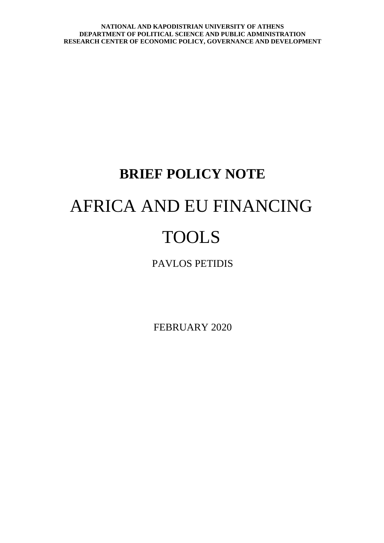# **BRIEF POLICY NOTE** AFRICA AND EU FINANCING TOOLS

PAVLOS PETIDIS

FEBRUARY 2020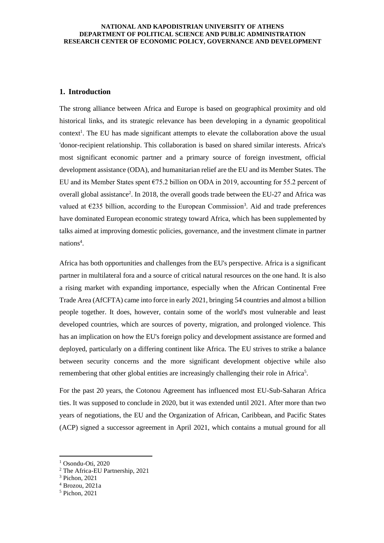## **1. Introduction**

The strong alliance between Africa and Europe is based on geographical proximity and old historical links, and its strategic relevance has been developing in a dynamic geopolitical context<sup>1</sup>. The EU has made significant attempts to elevate the collaboration above the usual 'donor-recipient relationship. This collaboration is based on shared similar interests. Africa's most significant economic partner and a primary source of foreign investment, official development assistance (ODA), and humanitarian relief are the EU and its Member States. The EU and its Member States spent €75.2 billion on ODA in 2019, accounting for 55.2 percent of overall global assistance<sup>2</sup>. In 2018, the overall goods trade between the EU-27 and Africa was valued at  $\epsilon$ 235 billion, according to the European Commission<sup>3</sup>. Aid and trade preferences have dominated European economic strategy toward Africa, which has been supplemented by talks aimed at improving domestic policies, governance, and the investment climate in partner nations<sup>4</sup>.

Africa has both opportunities and challenges from the EU's perspective. Africa is a significant partner in multilateral fora and a source of critical natural resources on the one hand. It is also a rising market with expanding importance, especially when the African Continental Free Trade Area (AfCFTA) came into force in early 2021, bringing 54 countries and almost a billion people together. It does, however, contain some of the world's most vulnerable and least developed countries, which are sources of poverty, migration, and prolonged violence. This has an implication on how the EU's foreign policy and development assistance are formed and deployed, particularly on a differing continent like Africa. The EU strives to strike a balance between security concerns and the more significant development objective while also remembering that other global entities are increasingly challenging their role in Africa<sup>5</sup>.

For the past 20 years, the Cotonou Agreement has influenced most EU-Sub-Saharan Africa ties. It was supposed to conclude in 2020, but it was extended until 2021. After more than two years of negotiations, the EU and the Organization of African, Caribbean, and Pacific States (ACP) signed a successor agreement in April 2021, which contains a mutual ground for all

 $1$  Osondu-Oti, 2020

<sup>2</sup> The Africa-EU Partnership, 2021

<sup>3</sup> Pichon, 2021

 $4$  Brozou, 2021a

<sup>5</sup> Pichon, 2021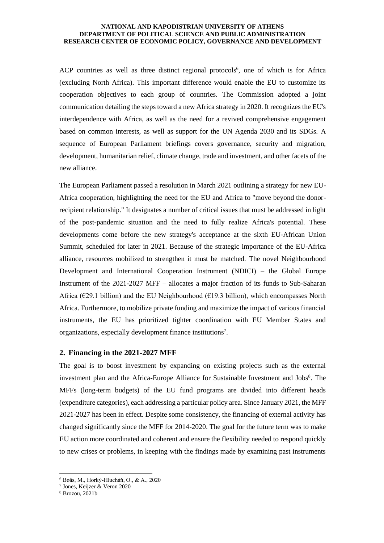ACP countries as well as three distinct regional protocols<sup>6</sup>, one of which is for Africa (excluding North Africa). This important difference would enable the EU to customize its cooperation objectives to each group of countries. The Commission adopted a joint communication detailing the steps toward a new Africa strategy in 2020. It recognizes the EU's interdependence with Africa, as well as the need for a revived comprehensive engagement based on common interests, as well as support for the UN Agenda 2030 and its SDGs. A sequence of European Parliament briefings covers governance, security and migration, development, humanitarian relief, climate change, trade and investment, and other facets of the new alliance.

The European Parliament passed a resolution in March 2021 outlining a strategy for new EU-Africa cooperation, highlighting the need for the EU and Africa to "move beyond the donorrecipient relationship." It designates a number of critical issues that must be addressed in light of the post-pandemic situation and the need to fully realize Africa's potential. These developments come before the new strategy's acceptance at the sixth EU-African Union Summit, scheduled for later in 2021. Because of the strategic importance of the EU-Africa alliance, resources mobilized to strengthen it must be matched. The novel Neighbourhood Development and International Cooperation Instrument (NDICI) – the Global Europe Instrument of the 2021-2027 MFF – allocates a major fraction of its funds to Sub-Saharan Africa ( $\epsilon$ 29.1 billion) and the EU Neighbourhood ( $\epsilon$ 19.3 billion), which encompasses North Africa. Furthermore, to mobilize private funding and maximize the impact of various financial instruments, the EU has prioritized tighter coordination with EU Member States and organizations, especially development finance institutions<sup>7</sup>.

## **2. Financing in the 2021-2027 MFF**

The goal is to boost investment by expanding on existing projects such as the external investment plan and the Africa-Europe Alliance for Sustainable Investment and Jobs<sup>8</sup>. The MFFs (long-term budgets) of the EU fund programs are divided into different heads (expenditure categories), each addressing a particular policy area. Since January 2021, the MFF 2021-2027 has been in effect. Despite some consistency, the financing of external activity has changed significantly since the MFF for 2014-2020. The goal for the future term was to make EU action more coordinated and coherent and ensure the flexibility needed to respond quickly to new crises or problems, in keeping with the findings made by examining past instruments

<sup>6</sup> Bøås, M., Horký-Hlucháň, O., & A., 2020

<sup>7</sup> Jones, Keijzer & Veron 2020

<sup>8</sup> Brozou, 2021b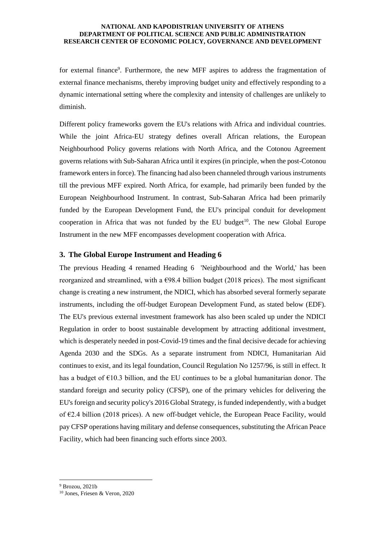for external finance<sup>9</sup>. Furthermore, the new MFF aspires to address the fragmentation of external finance mechanisms, thereby improving budget unity and effectively responding to a dynamic international setting where the complexity and intensity of challenges are unlikely to diminish.

Different policy frameworks govern the EU's relations with Africa and individual countries. While the joint Africa-EU strategy defines overall African relations, the European Neighbourhood Policy governs relations with North Africa, and the Cotonou Agreement governs relations with Sub-Saharan Africa until it expires (in principle, when the post-Cotonou framework enters in force). The financing had also been channeled through various instruments till the previous MFF expired. North Africa, for example, had primarily been funded by the European Neighbourhood Instrument. In contrast, Sub-Saharan Africa had been primarily funded by the European Development Fund, the EU's principal conduit for development cooperation in Africa that was not funded by the EU budget<sup>10</sup>. The new Global Europe Instrument in the new MFF encompasses development cooperation with Africa.

## **3. The Global Europe Instrument and Heading 6**

The previous Heading 4 renamed Heading 6 'Neighbourhood and the World,' has been reorganized and streamlined, with a  $\epsilon$ 98.4 billion budget (2018 prices). The most significant change is creating a new instrument, the NDICI, which has absorbed several formerly separate instruments, including the off-budget European Development Fund, as stated below (EDF). The EU's previous external investment framework has also been scaled up under the NDICI Regulation in order to boost sustainable development by attracting additional investment, which is desperately needed in post-Covid-19 times and the final decisive decade for achieving Agenda 2030 and the SDGs. As a separate instrument from NDICI, Humanitarian Aid continues to exist, and its legal foundation, Council Regulation No 1257/96, is still in effect. It has a budget of  $E10.3$  billion, and the EU continues to be a global humanitarian donor. The standard foreign and security policy (CFSP), one of the primary vehicles for delivering the EU's foreign and security policy's 2016 Global Strategy, is funded independently, with a budget of  $E2.4$  billion (2018 prices). A new off-budget vehicle, the European Peace Facility, would pay CFSP operations having military and defense consequences, substituting the African Peace Facility, which had been financing such efforts since 2003.

<sup>9</sup> Brozou, 2021b

<sup>10</sup> Jones, Friesen & Veron, 2020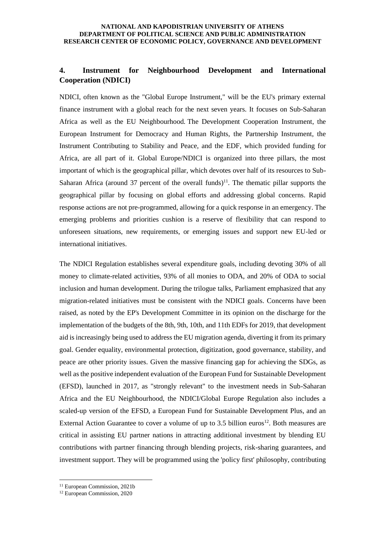# **4. Instrument for Neighbourhood Development and International Cooperation (NDICI)**

NDICI, often known as the "Global Europe Instrument," will be the EU's primary external finance instrument with a global reach for the next seven years. It focuses on Sub-Saharan Africa as well as the EU Neighbourhood. The Development Cooperation Instrument, the European Instrument for Democracy and Human Rights, the Partnership Instrument, the Instrument Contributing to Stability and Peace, and the EDF, which provided funding for Africa, are all part of it. Global Europe/NDICI is organized into three pillars, the most important of which is the geographical pillar, which devotes over half of its resources to Sub-Saharan Africa (around 37 percent of the overall funds)<sup>11</sup>. The thematic pillar supports the geographical pillar by focusing on global efforts and addressing global concerns. Rapid response actions are not pre-programmed, allowing for a quick response in an emergency. The emerging problems and priorities cushion is a reserve of flexibility that can respond to unforeseen situations, new requirements, or emerging issues and support new EU-led or international initiatives.

The NDICI Regulation establishes several expenditure goals, including devoting 30% of all money to climate-related activities, 93% of all monies to ODA, and 20% of ODA to social inclusion and human development. During the trilogue talks, Parliament emphasized that any migration-related initiatives must be consistent with the NDICI goals. Concerns have been raised, as noted by the EP's Development Committee in its opinion on the discharge for the implementation of the budgets of the 8th, 9th, 10th, and 11th EDFs for 2019, that development aid is increasingly being used to address the EU migration agenda, diverting it from its primary goal. Gender equality, environmental protection, digitization, good governance, stability, and peace are other priority issues. Given the massive financing gap for achieving the SDGs, as well as the positive independent evaluation of the European Fund for Sustainable Development (EFSD), launched in 2017, as "strongly relevant" to the investment needs in Sub-Saharan Africa and the EU Neighbourhood, the NDICI/Global Europe Regulation also includes a scaled-up version of the EFSD, a European Fund for Sustainable Development Plus, and an External Action Guarantee to cover a volume of up to 3.5 billion euros<sup>12</sup>. Both measures are critical in assisting EU partner nations in attracting additional investment by blending EU contributions with partner financing through blending projects, risk-sharing guarantees, and investment support. They will be programmed using the 'policy first' philosophy, contributing

<sup>&</sup>lt;sup>11</sup> European Commission, 2021b

<sup>12</sup> European Commission, 2020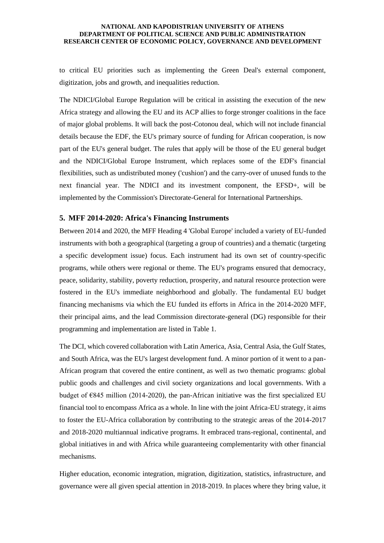to critical EU priorities such as implementing the Green Deal's external component, digitization, jobs and growth, and inequalities reduction.

The NDICI/Global Europe Regulation will be critical in assisting the execution of the new Africa strategy and allowing the EU and its ACP allies to forge stronger coalitions in the face of major global problems. It will back the post-Cotonou deal, which will not include financial details because the EDF, the EU's primary source of funding for African cooperation, is now part of the EU's general budget. The rules that apply will be those of the EU general budget and the NDICI/Global Europe Instrument, which replaces some of the EDF's financial flexibilities, such as undistributed money ('cushion') and the carry-over of unused funds to the next financial year. The NDICI and its investment component, the EFSD+, will be implemented by the Commission's Directorate-General for International Partnerships.

## **5. MFF 2014-2020: Africa's Financing Instruments**

Between 2014 and 2020, the MFF Heading 4 'Global Europe' included a variety of EU-funded instruments with both a geographical (targeting a group of countries) and a thematic (targeting a specific development issue) focus. Each instrument had its own set of country-specific programs, while others were regional or theme. The EU's programs ensured that democracy, peace, solidarity, stability, poverty reduction, prosperity, and natural resource protection were fostered in the EU's immediate neighborhood and globally. The fundamental EU budget financing mechanisms via which the EU funded its efforts in Africa in the 2014-2020 MFF, their principal aims, and the lead Commission directorate-general (DG) responsible for their programming and implementation are listed in Table 1.

The DCI, which covered collaboration with Latin America, Asia, Central Asia, the Gulf States, and South Africa, was the EU's largest development fund. A minor portion of it went to a pan-African program that covered the entire continent, as well as two thematic programs: global public goods and challenges and civil society organizations and local governments. With a budget of  $\epsilon$ 845 million (2014-2020), the pan-African initiative was the first specialized EU financial tool to encompass Africa as a whole. In line with the joint Africa-EU strategy, it aims to foster the EU-Africa collaboration by contributing to the strategic areas of the 2014-2017 and 2018-2020 multiannual indicative programs. It embraced trans-regional, continental, and global initiatives in and with Africa while guaranteeing complementarity with other financial mechanisms.

Higher education, economic integration, migration, digitization, statistics, infrastructure, and governance were all given special attention in 2018-2019. In places where they bring value, it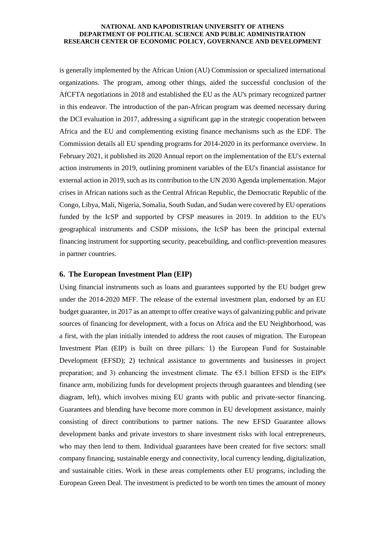is generally implemented by the African Union (AU) Commission or specialized international organizations. The program, among other things, aided the successful conclusion of the AfCFTA negotiations in 2018 and established the EU as the AU's primary recognized partner in this endeavor. The introduction of the pan-African program was deemed necessary during the DCI evaluation in 2017, addressing a significant gap in the strategic cooperation between Africa and the EU and complementing existing finance mechanisms such as the EDF. The Commission details all EU spending programs for 2014-2020 in its performance overview. In February 2021, it published its 2020 Annual report on the implementation of the EU's external action instruments in 2019, outlining prominent variables of the EU's financial assistance for external action in 2019, such as its contribution to the UN 2030 Agenda implementation. Major crises in African nations such as the Central African Republic, the Democratic Republic of the Congo, Libya, Mali, Nigeria, Somalia, South Sudan, and Sudan were covered by EU operations funded by the IcSP and supported by CFSP measures in 2019. In addition to the EU's geographical instruments and CSDP missions, the IcSP has been the principal external financing instrument for supporting security, peacebuilding, and conflict-prevention measures in partner countries.

## **6. The European Investment Plan (EIP)**

Using financial instruments such as loans and guarantees supported by the EU budget grew under the 2014-2020 MFF. The release of the external investment plan, endorsed by an EU budget guarantee, in 2017 as an attempt to offer creative ways of galvanizing public and private sources of financing for development, with a focus on Africa and the EU Neighborhood, was a first, with the plan initially intended to address the root causes of migration. The European Investment Plan (EIP) is built on three pillars: 1) the European Fund for Sustainable Development (EFSD); 2) technical assistance to governments and businesses in project preparation; and 3) enhancing the investment climate. The  $\epsilon$ 5.1 billion EFSD is the EIP's finance arm, mobilizing funds for development projects through guarantees and blending (see diagram, left), which involves mixing EU grants with public and private-sector financing. Guarantees and blending have become more common in EU development assistance, mainly consisting of direct contributions to partner nations. The new EFSD Guarantee allows development banks and private investors to share investment risks with local entrepreneurs, who may then lend to them. Individual guarantees have been created for five sectors: small company financing, sustainable energy and connectivity, local currency lending, digitalization, and sustainable cities. Work in these areas complements other EU programs, including the European Green Deal. The investment is predicted to be worth ten times the amount of money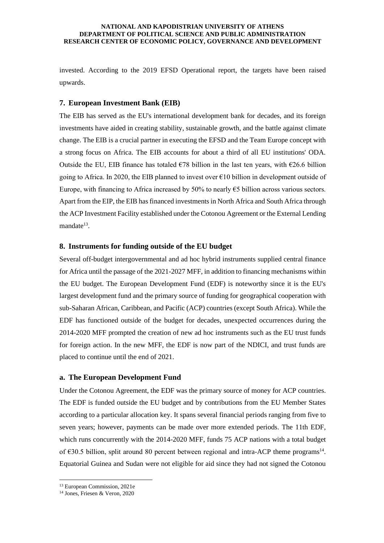invested. According to the 2019 EFSD Operational report, the targets have been raised upwards.

## **7. European Investment Bank (EIB)**

The EIB has served as the EU's international development bank for decades, and its foreign investments have aided in creating stability, sustainable growth, and the battle against climate change. The EIB is a crucial partner in executing the EFSD and the Team Europe concept with a strong focus on Africa. The EIB accounts for about a third of all EU institutions' ODA. Outside the EU, EIB finance has totaled  $\epsilon$ 78 billion in the last ten years, with  $\epsilon$ 26.6 billion going to Africa. In 2020, the EIB planned to invest over  $\epsilon$ 10 billion in development outside of Europe, with financing to Africa increased by 50% to nearly  $\epsilon$ 5 billion across various sectors. Apart from the EIP, the EIB has financed investments in North Africa and South Africa through the ACP Investment Facility established under the Cotonou Agreement or the External Lending mandate<sup>13</sup>.

## **8. Instruments for funding outside of the EU budget**

Several off-budget intergovernmental and ad hoc hybrid instruments supplied central finance for Africa until the passage of the 2021-2027 MFF, in addition to financing mechanisms within the EU budget. The European Development Fund (EDF) is noteworthy since it is the EU's largest development fund and the primary source of funding for geographical cooperation with sub-Saharan African, Caribbean, and Pacific (ACP) countries (except South Africa). While the EDF has functioned outside of the budget for decades, unexpected occurrences during the 2014-2020 MFF prompted the creation of new ad hoc instruments such as the EU trust funds for foreign action. In the new MFF, the EDF is now part of the NDICI, and trust funds are placed to continue until the end of 2021.

## **a. The European Development Fund**

Under the Cotonou Agreement, the EDF was the primary source of money for ACP countries. The EDF is funded outside the EU budget and by contributions from the EU Member States according to a particular allocation key. It spans several financial periods ranging from five to seven years; however, payments can be made over more extended periods. The 11th EDF, which runs concurrently with the 2014-2020 MFF, funds 75 ACP nations with a total budget of  $\epsilon$ 30.5 billion, split around 80 percent between regional and intra-ACP theme programs<sup>14</sup>. Equatorial Guinea and Sudan were not eligible for aid since they had not signed the Cotonou

<sup>13</sup> European Commission, 2021e

<sup>14</sup> Jones, Friesen & Veron, 2020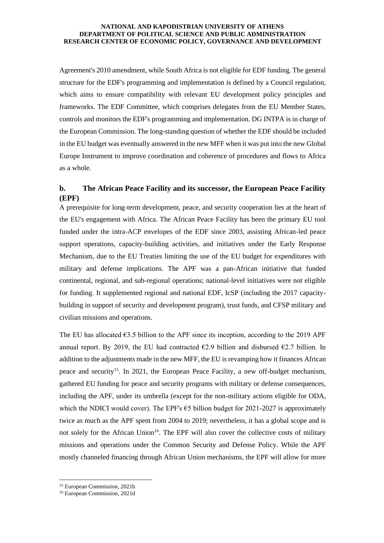Agreement's 2010 amendment, while South Africa is not eligible for EDF funding. The general structure for the EDF's programming and implementation is defined by a Council regulation, which aims to ensure compatibility with relevant EU development policy principles and frameworks. The EDF Committee, which comprises delegates from the EU Member States, controls and monitors the EDF's programming and implementation. DG INTPA is in charge of the European Commission. The long-standing question of whether the EDF should be included in the EU budget was eventually answered in the new MFF when it was put into the new Global Europe Instrument to improve coordination and coherence of procedures and flows to Africa as a whole.

# **b. The African Peace Facility and its successor, the European Peace Facility (EPF)**

A prerequisite for long-term development, peace, and security cooperation lies at the heart of the EU's engagement with Africa. The African Peace Facility has been the primary EU tool funded under the intra-ACP envelopes of the EDF since 2003, assisting African-led peace support operations, capacity-building activities, and initiatives under the Early Response Mechanism, due to the EU Treaties limiting the use of the EU budget for expenditures with military and defense implications. The APF was a pan-African initiative that funded continental, regional, and sub-regional operations; national-level initiatives were not eligible for funding. It supplemented regional and national EDF, IcSP (including the 2017 capacitybuilding in support of security and development program), trust funds, and CFSP military and civilian missions and operations.

The EU has allocated  $\epsilon$ 3.5 billion to the APF since its inception, according to the 2019 APF annual report. By 2019, the EU had contracted  $\epsilon$ 2.9 billion and disbursed  $\epsilon$ 2.7 billion. In addition to the adjustments made in the new MFF, the EU is revamping how it finances African peace and security<sup>15</sup>. In 2021, the European Peace Facility, a new off-budget mechanism, gathered EU funding for peace and security programs with military or defense consequences, including the APF, under its umbrella (except for the non-military actions eligible for ODA, which the NDICI would cover). The EPF's  $\epsilon$ 5 billion budget for 2021-2027 is approximately twice as much as the APF spent from 2004 to 2019; nevertheless, it has a global scope and is not solely for the African Union<sup>16</sup>. The EPF will also cover the collective costs of military missions and operations under the Common Security and Defense Policy. While the APF mostly channeled financing through African Union mechanisms, the EPF will allow for more

<sup>15</sup> European Commission, 2021b

<sup>16</sup> European Commission, 2021d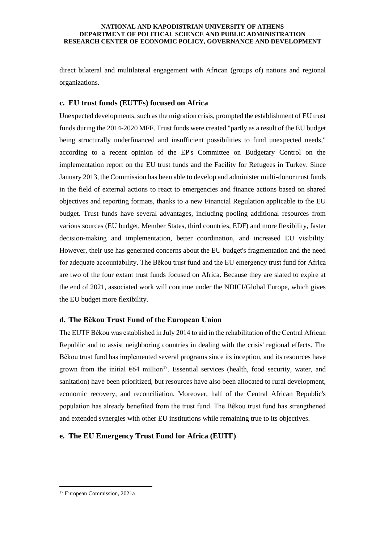direct bilateral and multilateral engagement with African (groups of) nations and regional organizations.

# **c. EU trust funds (EUTFs) focused on Africa**

Unexpected developments, such as the migration crisis, prompted the establishment of EU trust funds during the 2014-2020 MFF. Trust funds were created "partly as a result of the EU budget being structurally underfinanced and insufficient possibilities to fund unexpected needs," according to a recent opinion of the EP's Committee on Budgetary Control on the implementation report on the EU trust funds and the Facility for Refugees in Turkey. Since January 2013, the Commission has been able to develop and administer multi-donor trust funds in the field of external actions to react to emergencies and finance actions based on shared objectives and reporting formats, thanks to a new Financial Regulation applicable to the EU budget. Trust funds have several advantages, including pooling additional resources from various sources (EU budget, Member States, third countries, EDF) and more flexibility, faster decision-making and implementation, better coordination, and increased EU visibility. However, their use has generated concerns about the EU budget's fragmentation and the need for adequate accountability. The Bêkou trust fund and the EU emergency trust fund for Africa are two of the four extant trust funds focused on Africa. Because they are slated to expire at the end of 2021, associated work will continue under the NDICI/Global Europe, which gives the EU budget more flexibility.

# **d. The Bêkou Trust Fund of the European Union**

The EUTF Bêkou was established in July 2014 to aid in the rehabilitation of the Central African Republic and to assist neighboring countries in dealing with the crisis' regional effects. The Bêkou trust fund has implemented several programs since its inception, and its resources have grown from the initial  $664$  million<sup>17</sup>. Essential services (health, food security, water, and sanitation) have been prioritized, but resources have also been allocated to rural development, economic recovery, and reconciliation. Moreover, half of the Central African Republic's population has already benefited from the trust fund. The Bêkou trust fund has strengthened and extended synergies with other EU institutions while remaining true to its objectives.

## **e. The EU Emergency Trust Fund for Africa (EUTF)**

<sup>17</sup> European Commission, 2021a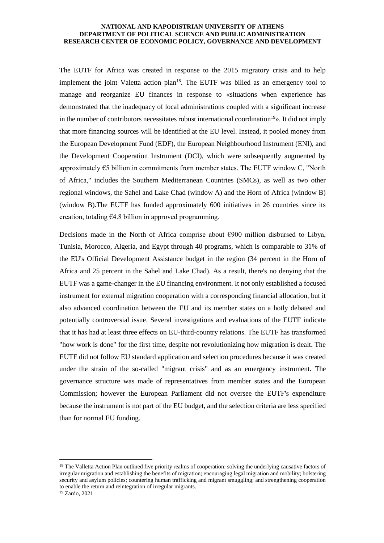The EUTF for Africa was created in response to the 2015 migratory crisis and to help implement the joint Valetta action  $plan^{18}$ . The EUTF was billed as an emergency tool to manage and reorganize EU finances in response to «situations when experience has demonstrated that the inadequacy of local administrations coupled with a significant increase in the number of contributors necessitates robust international coordination<sup>19</sup>». It did not imply that more financing sources will be identified at the EU level. Instead, it pooled money from the European Development Fund (EDF), the European Neighbourhood Instrument (ENI), and the Development Cooperation Instrument (DCI), which were subsequently augmented by approximately  $\epsilon$ 5 billion in commitments from member states. The EUTF window C, "North of Africa," includes the Southern Mediterranean Countries (SMCs), as well as two other regional windows, the Sahel and Lake Chad (window A) and the Horn of Africa (window B) (window B).The EUTF has funded approximately 600 initiatives in 26 countries since its creation, totaling  $64.8$  billion in approved programming.

Decisions made in the North of Africa comprise about  $\epsilon$ 900 million disbursed to Libya, Tunisia, Morocco, Algeria, and Egypt through 40 programs, which is comparable to 31% of the EU's Official Development Assistance budget in the region (34 percent in the Horn of Africa and 25 percent in the Sahel and Lake Chad). As a result, there's no denying that the EUTF was a game-changer in the EU financing environment. It not only established a focused instrument for external migration cooperation with a corresponding financial allocation, but it also advanced coordination between the EU and its member states on a hotly debated and potentially controversial issue. Several investigations and evaluations of the EUTF indicate that it has had at least three effects on EU-third-country relations. The EUTF has transformed "how work is done" for the first time, despite not revolutionizing how migration is dealt. The EUTF did not follow EU standard application and selection procedures because it was created under the strain of the so-called "migrant crisis" and as an emergency instrument. The governance structure was made of representatives from member states and the European Commission; however the European Parliament did not oversee the EUTF's expenditure because the instrument is not part of the EU budget, and the selection criteria are less specified than for normal EU funding.

<sup>&</sup>lt;sup>18</sup> The Valletta Action Plan outlined five priority realms of cooperation: solving the underlying causative factors of irregular migration and establishing the benefits of migration; encouraging legal migration and mobility; bolstering security and asylum policies; countering human trafficking and migrant smuggling; and strengthening cooperation to enable the return and reintegration of irregular migrants. <sup>19</sup> Zardo, 2021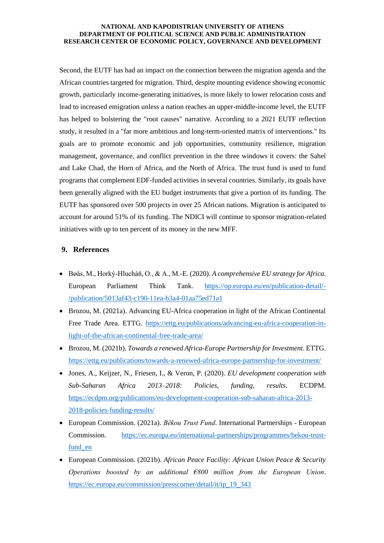Second, the EUTF has had an impact on the connection between the migration agenda and the African countries targeted for migration. Third, despite mounting evidence showing economic growth, particularly income-generating initiatives, is more likely to lower relocation costs and lead to increased emigration unless a nation reaches an upper-middle-income level, the EUTF has helped to bolstering the "root causes" narrative. According to a 2021 EUTF reflection study, it resulted in a "far more ambitious and long-term-oriented matrix of interventions." Its goals are to promote economic and job opportunities, community resilience, migration management, governance, and conflict prevention in the three windows it covers: the Sahel and Lake Chad, the Horn of Africa, and the North of Africa. The trust fund is used to fund programs that complement EDF-funded activities in several countries. Similarly, its goals have been generally aligned with the EU budget instruments that give a portion of its funding. The EUTF has sponsored over 500 projects in over 25 African nations. Migration is anticipated to account for around 51% of its funding. The NDICI will continue to sponsor migration-related initiatives with up to ten percent of its money in the new MFF.

# **9. References**

- Bøås, M., Horký-Hlucháň, O., & A., M.-E. (2020). *A comprehensive EU strategy for Africa.* European Parliament Think Tank. [https://op.europa.eu/en/publication-detail/-](https://op.europa.eu/en/publication-detail/-/publication/5013af43-c190-11ea-b3a4-01aa75ed71a1) [/publication/5013af43-c190-11ea-b3a4-01aa75ed71a1](https://op.europa.eu/en/publication-detail/-/publication/5013af43-c190-11ea-b3a4-01aa75ed71a1)
- Brozou, M. (2021a). Advancing EU-Africa cooperation in light of the African Continental Free Trade Area. ETTG. [https://ettg.eu/publications/advancing-eu-africa-cooperation-in](https://ettg.eu/publications/advancing-eu-africa-cooperation-in-light-of-the-african-continental-free-trade-area/)[light-of-the-african-continental-free-trade-area/](https://ettg.eu/publications/advancing-eu-africa-cooperation-in-light-of-the-african-continental-free-trade-area/)
- Brozou, M. (2021b). *Towards a renewed Africa-Europe Partnership for Investment*. ETTG. <https://ettg.eu/publications/towards-a-renewed-africa-europe-partnership-for-investment/>
- Jones, A., Keijzer, N., Friesen, I., & Veron, P. (2020). *EU development cooperation with Sub-Saharan Africa 2013–2018: Policies, funding, results*. ECDPM. [https://ecdpm.org/publications/eu-development-cooperation-sub-saharan-africa-2013-](https://ecdpm.org/publications/eu-development-cooperation-sub-saharan-africa-2013-2018-policies-funding-results/) [2018-policies-funding-results/](https://ecdpm.org/publications/eu-development-cooperation-sub-saharan-africa-2013-2018-policies-funding-results/)
- European Commission. (2021a). *Bêkou Trust Fund*. International Partnerships European Commission. [https://ec.europa.eu/international-partnerships/programmes/bekou-trust](https://ec.europa.eu/international-partnerships/programmes/bekou-trust-fund_en)fund en
- European Commission. (2021b). *African Peace Facility: African Union Peace & Security Operations boosted by an additional €800 million from the European Union*. [https://ec.europa.eu/commission/presscorner/detail/it/ip\\_19\\_343](https://ec.europa.eu/commission/presscorner/detail/it/ip_19_343)